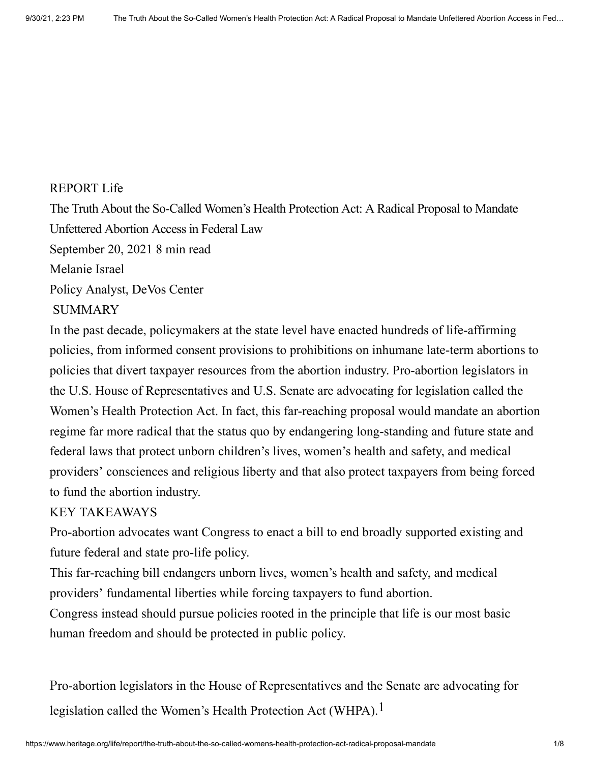## REPORT [Life](https://www.heritage.org/life)

The Truth About the So-Called Women's Health Protection Act: A Radical Proposal to Mandate Unfettered Abortion Access in Federal Law

September 20, 2021 8 min read

[Melanie Israel](https://www.heritage.org/staff/melanie-israel)

Policy Analyst, DeVos Center

## SUMMARY

In the past decade, policymakers at the state level have enacted hundreds of life-affirming policies, from informed consent provisions to prohibitions on inhumane late-term abortions to policies that divert taxpayer resources from the abortion industry. Pro-abortion legislators in the U.S. House of Representatives and U.S. Senate are advocating for legislation called the Women's Health Protection Act. In fact, this far-reaching proposal would mandate an abortion regime far more radical that the status quo by endangering long-standing and future state and federal laws that protect unborn children's lives, women's health and safety, and medical providers' consciences and religious liberty and that also protect taxpayers from being forced to fund the abortion industry.

## KEY TAKEAWAYS

Pro-abortion advocates want Congress to enact a bill to end broadly supported existing and future federal and state pro-life policy.

This far-reaching bill endangers unborn lives, women's health and safety, and medical providers' fundamental liberties while forcing taxpayers to fund abortion.

Congress instead should pursue policies rooted in the principle that life is our most basic human freedom and should be protected in public policy.

<span id="page-0-0"></span>Pro-abortion legislators in the House of Representatives and the Senate are advocating for legislation called the Women's Health Protection Act (WHPA).<sup>1</sup>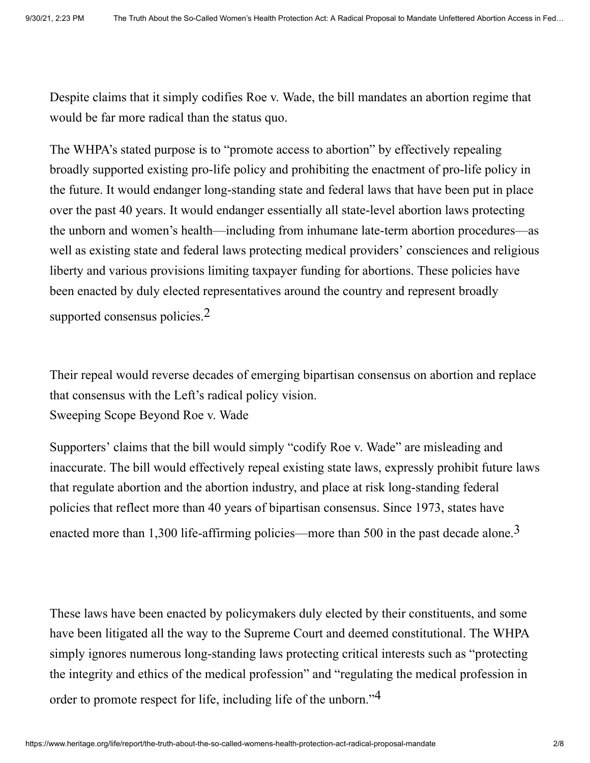Despite claims that it simply codifies Roe v. Wade, the bill mandates an abortion regime that would be far more radical than the status quo.

The WHPA's stated purpose is to "promote access to abortion" by effectively repealing broadly supported existing pro-life policy and prohibiting the enactment of pro-life policy in the future. It would endanger long-standing state and federal laws that have been put in place over the past 40 years. It would endanger essentially all state-level abortion laws protecting the unborn and women's health—including from inhumane late-term abortion procedures—as well as existing state and federal laws protecting medical providers' consciences and religious liberty and various provisions limiting taxpayer funding for abortions. These policies have been enacted by duly elected representatives around the country and represent broadly supported consensus policies. $2$ 

<span id="page-1-0"></span>Their repeal would reverse decades of emerging bipartisan consensus on abortion and replace that consensus with the Left's radical policy vision. Sweeping Scope Beyond Roe v. Wade

<span id="page-1-1"></span>Supporters' claims that the bill would simply "codify Roe v. Wade" are misleading and inaccurate. The bill would effectively repeal existing state laws, expressly prohibit future laws that regulate abortion and the abortion industry, and place at risk long-standing federal policies that reflect more than 40 years of bipartisan consensus. Since 1973, states have enacted more than 1,300 life-affirming policies—more than 500 in the past decade alone.<sup>3</sup>

<span id="page-1-2"></span>These laws have been enacted by policymakers duly elected by their constituents, and some have been litigated all the way to the Supreme Court and deemed constitutional. The WHPA simply ignores numerous long-standing laws protecting critical interests such as "protecting the integrity and ethics of the medical profession" and "regulating the medical profession in order to promote respect for life, including life of the unborn."<sup>4</sup>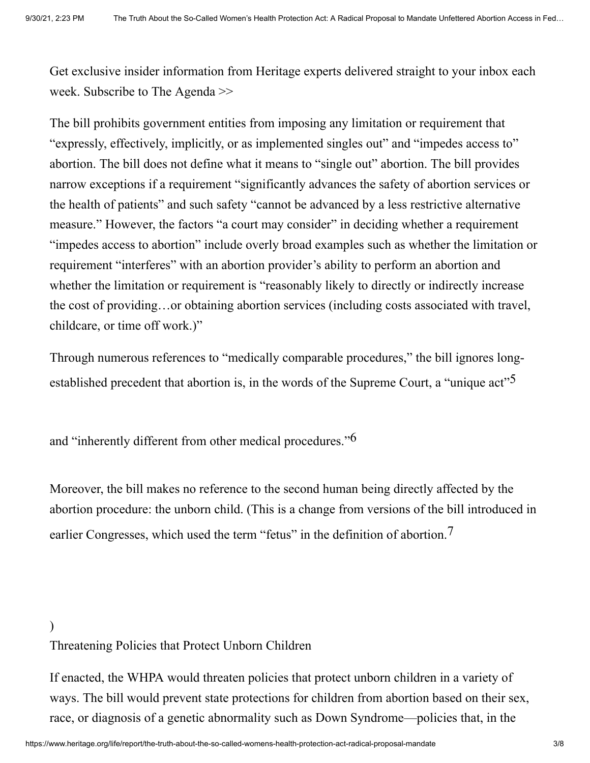Get exclusive insider information from Heritage experts delivered straight to your inbox each week. [Subscribe to The Agenda >>](#page-5-0)

The bill prohibits government entities from imposing any limitation or requirement that "expressly, effectively, implicitly, or as implemented singles out" and "impedes access to" abortion. The bill does not define what it means to "single out" abortion. The bill provides narrow exceptions if a requirement "significantly advances the safety of abortion services or the health of patients" and such safety "cannot be advanced by a less restrictive alternative measure." However, the factors "a court may consider" in deciding whether a requirement "impedes access to abortion" include overly broad examples such as whether the limitation or requirement "interferes" with an abortion provider's ability to perform an abortion and whether the limitation or requirement is "reasonably likely to directly or indirectly increase the cost of providing…or obtaining abortion services (including costs associated with travel, childcare, or time off work.)"

<span id="page-2-0"></span>Through numerous references to "medically comparable procedures," the bill ignores longestablished precedent that abortion is, in the words of the Supreme Court, a "unique act"<sup>5</sup>

<span id="page-2-1"></span>and "inherently different from other medical procedures." $6$ 

<span id="page-2-2"></span>Moreover, the bill makes no reference to the second human being directly affected by the abortion procedure: the unborn child. (This is a change from versions of the bill introduced in earlier Congresses, which used the term "fetus" in the definition of abortion.<sup>7</sup>

## ) Threatening Policies that Protect Unborn Children

If enacted, the WHPA would threaten policies that protect unborn children in a variety of ways. The bill would prevent state protections for children from abortion based on their sex, race, or diagnosis of a genetic abnormality such as Down Syndrome—policies that, in the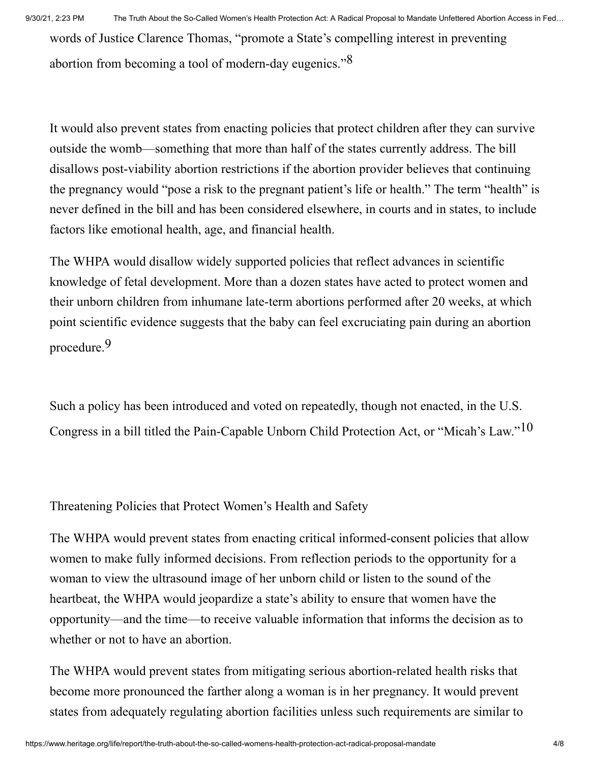<span id="page-3-0"></span>words of Justice Clarence Thomas, "promote a State's compelling interest in preventing abortion from becoming a tool of modern-day eugenics."8

It would also prevent states from enacting policies that protect children after they can survive outside the womb—something that more than half of the states currently address. The bill disallows post-viability abortion restrictions if the abortion provider believes that continuing the pregnancy would "pose a risk to the pregnant patient's life or health." The term "health" is never defined in the bill and has been considered elsewhere, in courts and in states, to include factors like emotional health, age, and financial health.

The WHPA would disallow widely supported policies that reflect advances in scientific knowledge of fetal development. More than a dozen states have acted to protect women and their unborn children from inhumane late-term abortions performed after 20 weeks, at which point scientific evidence suggests that the baby can feel excruciating pain during an abortion procedure. 9

<span id="page-3-2"></span><span id="page-3-1"></span>Such a policy has been introduced and voted on repeatedly, though not enacted, in the U.S. Congress in a bill titled the Pain-Capable Unborn Child Protection Act, or "Micah's Law." $10$ 

Threatening Policies that Protect Women's Health and Safety

The WHPA would prevent states from enacting critical informed-consent policies that allow women to make fully informed decisions. From reflection periods to the opportunity for a woman to view the ultrasound image of her unborn child or listen to the sound of the heartbeat, the WHPA would jeopardize a state's ability to ensure that women have the opportunity—and the time—to receive valuable information that informs the decision as to whether or not to have an abortion.

The WHPA would prevent states from mitigating serious abortion-related health risks that become more pronounced the farther along a woman is in her pregnancy. It would prevent states from adequately regulating abortion facilities unless such requirements are similar to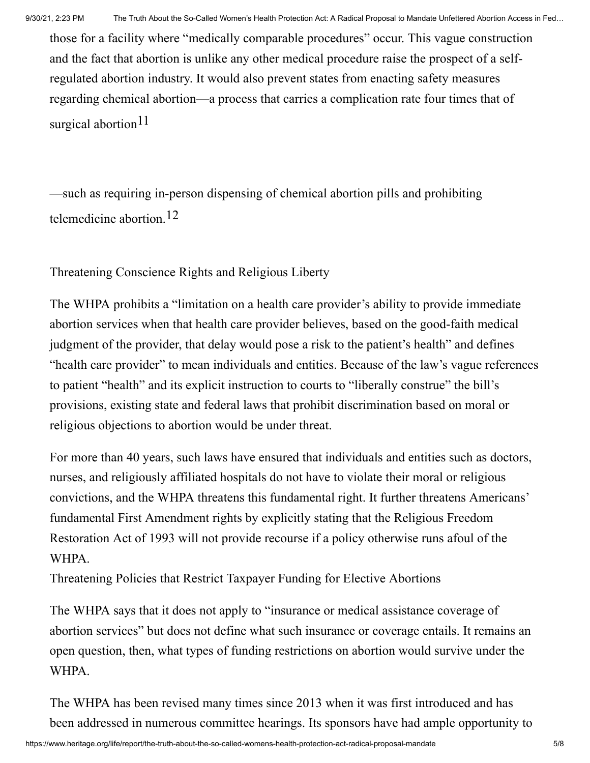those for a facility where "medically comparable procedures" occur. This vague construction and the fact that abortion is unlike any other medical procedure raise the prospect of a selfregulated abortion industry. It would also prevent states from enacting safety measures regarding chemical abortion—a process that carries a complication rate four times that of surgical abortion<sup>11</sup>

<span id="page-4-1"></span><span id="page-4-0"></span>—such as requiring in-person dispensing of chemical abortion pills and prohibiting telemedicine abortion. 12

Threatening Conscience Rights and Religious Liberty

The WHPA prohibits a "limitation on a health care provider's ability to provide immediate abortion services when that health care provider believes, based on the good-faith medical judgment of the provider, that delay would pose a risk to the patient's health" and defines "health care provider" to mean individuals and entities. Because of the law's vague references to patient "health" and its explicit instruction to courts to "liberally construe" the bill's provisions, existing state and federal laws that prohibit discrimination based on moral or religious objections to abortion would be under threat.

For more than 40 years, such laws have ensured that individuals and entities such as doctors, nurses, and religiously affiliated hospitals do not have to violate their moral or religious convictions, and the WHPA threatens this fundamental right. It further threatens Americans' fundamental First Amendment rights by explicitly stating that the Religious Freedom Restoration Act of 1993 will not provide recourse if a policy otherwise runs afoul of the WHPA.

Threatening Policies that Restrict Taxpayer Funding for Elective Abortions

The WHPA says that it does not apply to "insurance or medical assistance coverage of abortion services" but does not define what such insurance or coverage entails. It remains an open question, then, what types of funding restrictions on abortion would survive under the WHPA.

The WHPA has been revised many times since 2013 when it was first introduced and has been addressed in numerous committee hearings. Its sponsors have had ample opportunity to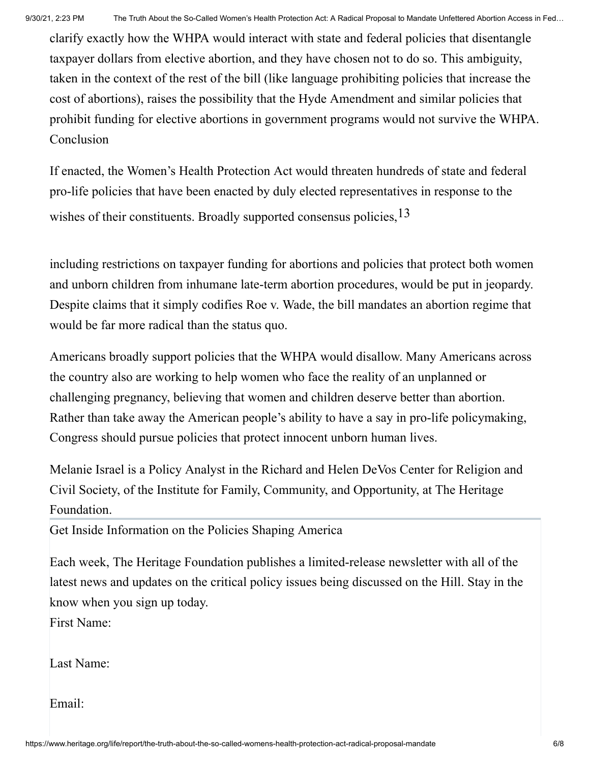clarify exactly how the WHPA would interact with state and federal policies that disentangle taxpayer dollars from elective abortion, and they have chosen not to do so. This ambiguity, taken in the context of the rest of the bill (like language prohibiting policies that increase the cost of abortions), raises the possibility that the Hyde Amendment and similar policies that prohibit funding for elective abortions in government programs would not survive the WHPA. Conclusion

<span id="page-5-1"></span>If enacted, the Women's Health Protection Act would threaten hundreds of state and federal pro-life policies that have been enacted by duly elected representatives in response to the wishes of their constituents. Broadly supported consensus policies,  $^{13}$ 

including restrictions on taxpayer funding for abortions and policies that protect both women and unborn children from inhumane late-term abortion procedures, would be put in jeopardy. Despite claims that it simply codifies Roe v. Wade, the bill mandates an abortion regime that would be far more radical than the status quo.

Americans broadly support policies that the WHPA would disallow. Many Americans across the country also are working to help women who face the reality of an unplanned or challenging pregnancy, believing that women and children deserve better than abortion. Rather than take away the American people's ability to have a say in pro-life policymaking, Congress should pursue policies that protect innocent unborn human lives.

Melanie Israel is a Policy Analyst in the Richard and Helen DeVos Center for Religion and Civil Society, of the Institute for Family, Community, and Opportunity, at The Heritage Foundation.

<span id="page-5-0"></span>Get Inside Information on the Policies Shaping America

Each week, The Heritage Foundation publishes a limited-release newsletter with all of the latest news and updates on the critical policy issues being discussed on the Hill. Stay in the know when you sign up today.

First Name:

Last Name:

Email: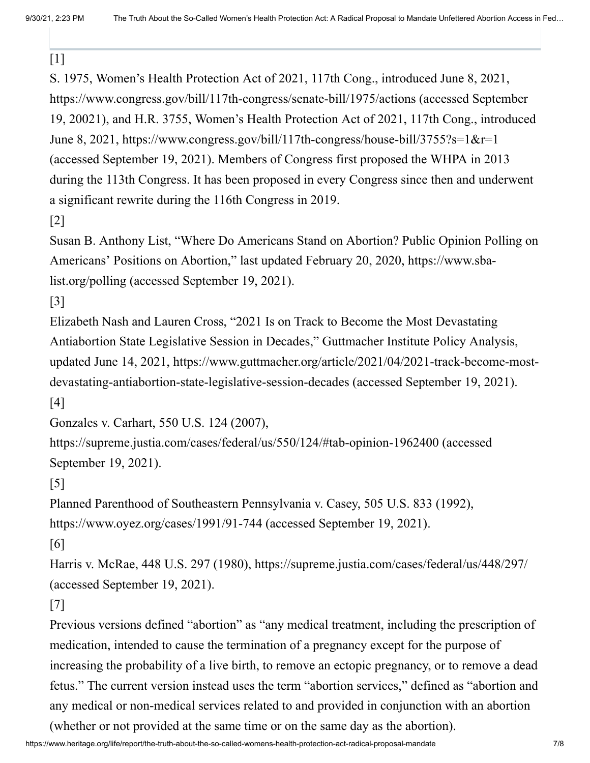$[1]$ 

S. 1975, Women's Health Protection Act of 2021, 117th Cong., introduced June 8, 2021, https://www.congress.gov/bill/117th-congress/senate-bill/1975/actions (accessed September 19, 20021), and H.R. 3755, Women's Health Protection Act of 2021, 117th Cong., introduced June 8, 2021, https://www.congress.gov/bill/117th-congress/house-bill/3755?s=1&r=1 (accessed September 19, 2021). Members of Congress first proposed the WHPA in 2013 during the 113th Congress. It has been proposed in every Congress since then and underwent a significant rewrite during the 116th Congress in 2019.

[\[2\]](#page-1-0)

Susan B. Anthony List, "Where Do Americans Stand on Abortion? Public Opinion Polling on Americans' Positions on Abortion," last updated February 20, 2020, https://www.sbalist.org/polling (accessed September 19, 2021).

[\[3\]](#page-1-1)

Elizabeth Nash and Lauren Cross, "2021 Is on Track to Become the Most Devastating Antiabortion State Legislative Session in Decades," Guttmacher Institute Policy Analysis, updated June 14, 2021, https://www.guttmacher.org/article/2021/04/2021-track-become-mostdevastating-antiabortion-state-legislative-session-decades (accessed September 19, 2021).

[\[4\]](#page-1-2)

Gonzales v. Carhart, 550 U.S. 124 (2007),

https://supreme.justia.com/cases/federal/us/550/124/#tab-opinion-1962400 (accessed September 19, 2021).

[\[5\]](#page-2-0)

Planned Parenthood of Southeastern Pennsylvania v. Casey, 505 U.S. 833 (1992),

https://www.oyez.org/cases/1991/91-744 (accessed September 19, 2021).

[\[6\]](#page-2-1)

Harris v. McRae, 448 U.S. 297 (1980), https://supreme.justia.com/cases/federal/us/448/297/ (accessed September 19, 2021).

[\[7\]](#page-2-2)

Previous versions defined "abortion" as "any medical treatment, including the prescription of medication, intended to cause the termination of a pregnancy except for the purpose of increasing the probability of a live birth, to remove an ectopic pregnancy, or to remove a dead fetus." The current version instead uses the term "abortion services," defined as "abortion and any medical or non-medical services related to and provided in conjunction with an abortion

(whether or not provided at the same time or on the same day as the abortion).